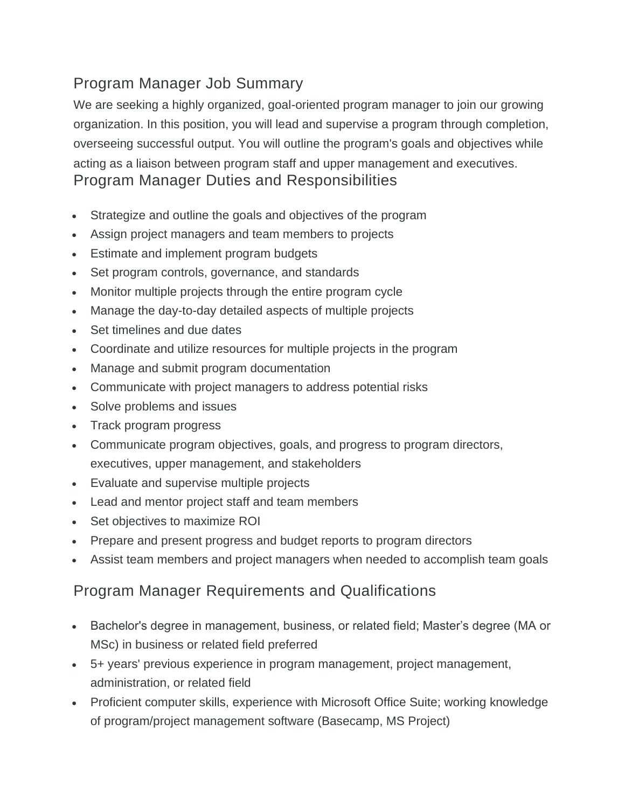## Program Manager Job Summary

We are seeking a highly organized, goal-oriented program manager to join our growing organization. In this position, you will lead and supervise a program through completion, overseeing successful output. You will outline the program's goals and objectives while acting as a liaison between program staff and upper management and executives. Program Manager Duties and Responsibilities

- Strategize and outline the goals and objectives of the program
- Assign project managers and team members to projects
- Estimate and implement program budgets
- Set program controls, governance, and standards
- Monitor multiple projects through the entire program cycle
- Manage the day-to-day detailed aspects of multiple projects
- Set timelines and due dates
- Coordinate and utilize resources for multiple projects in the program
- Manage and submit program documentation
- Communicate with project managers to address potential risks
- Solve problems and issues
- Track program progress
- Communicate program objectives, goals, and progress to program directors, executives, upper management, and stakeholders
- Evaluate and supervise multiple projects
- Lead and mentor project staff and team members
- Set objectives to maximize ROI
- Prepare and present progress and budget reports to program directors
- Assist team members and project managers when needed to accomplish team goals

## Program Manager Requirements and Qualifications

- Bachelor's degree in management, business, or related field; Master's degree (MA or MSc) in business or related field preferred
- 5+ years' previous experience in program management, project management, administration, or related field
- Proficient computer skills, experience with Microsoft Office Suite; working knowledge of program/project management software (Basecamp, MS Project)